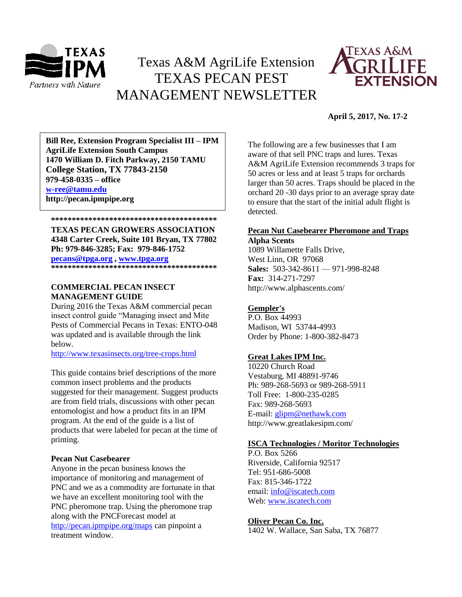

# Texas A&M AgriLife Extension TEXAS PECAN PEST MANAGEMENT NEWSLETTER



# **April 5, 2017, No. 17-2**

**AgriLife Extension South Campus**<br> **Agriculture Density Property CALCO TO LATE 1470 William D. Fitch Parkway, 2150 TAMU Bill Ree, Extension Program Specialist III – IPM College Station, TX 77843-2150 979-458-0335 – office [w-ree@tamu.edu](mailto:w-ree@tamu.edu) http://pecan.ipmpipe.org**

**\*\*\*\*\*\*\*\*\*\*\*\*\*\*\*\*\*\*\*\*\*\*\*\*\*\*\*\*\*\*\*\*\*\*\*\*\*\*\*\* TEXAS PECAN GROWERS ASSOCIATION 4348 Carter Creek, Suite 101 Bryan, TX 77802 Ph: 979-846-3285; Fax: 979-846-1752 [pecans@tpga.org](mailto:pecans@tpga.org) , [www.tpga.org](http://www.tpga.org/) \*\*\*\*\*\*\*\*\*\*\*\*\*\*\*\*\*\*\*\*\*\*\*\*\*\*\*\*\*\*\*\*\*\*\*\*\*\*\*\***

# **COMMERCIAL PECAN INSECT MANAGEMENT GUIDE**

During 2016 the Texas A&M commercial pecan insect control guide "Managing insect and Mite Pests of Commercial Pecans in Texas: ENTO-048 was updated and is available through the link below.

<http://www.texasinsects.org/tree-crops.html>

This guide contains brief descriptions of the more common insect problems and the products suggested for their management. Suggest products are from field trials, discussions with other pecan entomologist and how a product fits in an IPM program. At the end of the guide is a list of products that were labeled for pecan at the time of printing.

#### **Pecan Nut Casebearer**

Anyone in the pecan business knows the importance of monitoring and management of PNC and we as a commodity are fortunate in that we have an excellent monitoring tool with the PNC pheromone trap. Using the pheromone trap along with the PNCForecast model at <http://pecan.ipmpipe.org/maps> can pinpoint a treatment window.

The following are a few businesses that I am aware of that sell PNC traps and lures. Texas A&M AgriLife Extension recommends 3 traps for 50 acres or less and at least 5 traps for orchards larger than 50 acres. Traps should be placed in the orchard 20 -30 days prior to an average spray date to ensure that the start of the initial adult flight is detected.

#### **Pecan Nut Casebearer Pheromone and Traps Alpha Scents**

1089 Willamette Falls Drive, West Linn, OR 97068 **Sales:** 503-342-8611 — 971-998-8248 **Fax:** 314-271-7297 http://www.alphascents.com/

## **[Gempler's](http://www.gemplers.com/)**

P.O. Box 44993 Madison, WI 53744-4993 Order by Phone: 1-800-382-8473

## **[Great Lakes IPM Inc.](http://www.greatlakesipm.com/)**

10220 Church Road Vestaburg, MI 48891-9746 Ph: 989-268-5693 or 989-268-5911 Toll Free: 1-800-235-0285 Fax: 989-268-5693 E-mail: [glipm@nethawk.com](mailto:glipm@nethawk.com) http://www.greatlakesipm.com/

# **[ISCA Technologies / Moritor Technologies](http://www.iscatech.com/exec/)**

P.O. Box 5266 Riverside, California 92517 Tel: 951-686-5008 Fax: 815-346-1722 email[: info@iscatech.com](mailto:info@iscatech.com) Web: [www.iscatech.com](http://www.iscatech.com/)

#### **[Oliver Pecan Co. Inc.](http://www.oliverpecan.com/)**

1402 W. Wallace, San Saba, TX 76877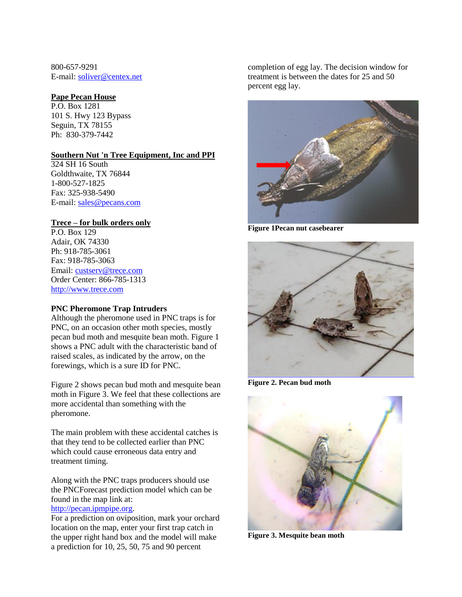800-657-9291 E-mail: [soliver@centex.net](mailto:soliver@centex.net)

#### **[Pape Pecan House](http://www.papepecan.com/)**

P.O. Box 1281 101 S. Hwy 123 Bypass Seguin, TX 78155 Ph: 830-379-7442

#### **Southern Nut 'n Tree Equipment, Inc and PPI**

324 SH 16 South Goldthwaite, TX 76844 1-800-527-1825 Fax: 325-938-5490 E-mail: [sales@pecans.com](mailto:sales@pecans.com)

# **[Trece](http://www.trece.com/) – for bulk orders only**

P.O. Box 129 Adair, OK 74330 Ph: 918-785-3061 Fax: 918-785-3063 Email: [custserv@trece.com](mailto:custserv@trece.com) Order Center: 866-785-1313 [http://www.trece.com](http://www.trece.com/)

## **PNC Pheromone Trap Intruders**

Although the pheromone used in PNC traps is for PNC, on an occasion other moth species, mostly pecan bud moth and mesquite bean moth. Figure 1 shows a PNC adult with the characteristic band of raised scales, as indicated by the arrow, on the forewings, which is a sure ID for PNC.

Figure 2 shows pecan bud moth and mesquite bean moth in Figure  $\overline{3}$ . We feel that these collections are more accidental than something with the pheromone.

The main problem with these accidental catches is that they tend to be collected earlier than PNC which could cause erroneous data entry and treatment timing.

Along with the PNC traps producers should use the PNCForecast prediction model which can be found in the map link at:

# [http://pecan.ipmpipe.org.](http://pecan.ipmpipe.org/)

For a prediction on oviposition, mark your orchard location on the map, enter your first trap catch in the upper right hand box and the model will make a prediction for 10, 25, 50, 75 and 90 percent

completion of egg lay. The decision window for treatment is between the dates for 25 and 50 percent egg lay.



**Figure 1Pecan nut casebearer** 



**Figure 2. Pecan bud moth**



**Figure 3. Mesquite bean moth**